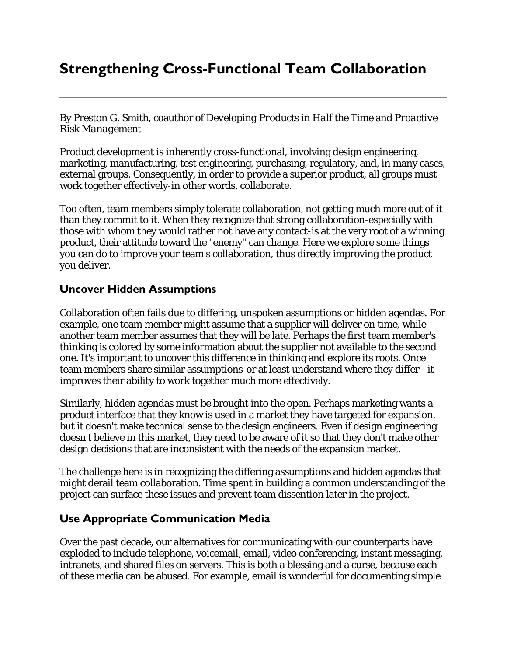# **Strengthening Cross-Functional Team Collaboration**

By Preston G. Smith, coauthor of *Developing Products in Half the Time* and *Proactive Risk Management*

Product development is inherently cross-functional, involving design engineering, marketing, manufacturing, test engineering, purchasing, regulatory, and, in many cases, external groups. Consequently, in order to provide a superior product, all groups must work together effectively-in other words, collaborate.

Too often, team members simply tolerate collaboration, not getting much more out of it than they commit to it. When they recognize that strong collaboration-especially with those with whom they would rather not have any contact-is at the very root of a winning product, their attitude toward the "enemy" can change. Here we explore some things you can do to improve your team's collaboration, thus directly improving the product you deliver.

#### **Uncover Hidden Assumptions**

Collaboration often fails due to differing, unspoken assumptions or hidden agendas. For example, one team member might assume that a supplier will deliver on time, while another team member assumes that they will be late. Perhaps the first team member's thinking is colored by some information about the supplier not available to the second one. It's important to uncover this difference in thinking and explore its roots. Once team members share similar assumptions-or at least understand where they differ—it improves their ability to work together much more effectively.

Similarly, hidden agendas must be brought into the open. Perhaps marketing wants a product interface that they know is used in a market they have targeted for expansion, but it doesn't make technical sense to the design engineers. Even if design engineering doesn't believe in this market, they need to be aware of it so that they don't make other design decisions that are inconsistent with the needs of the expansion market.

The challenge here is in recognizing the differing assumptions and hidden agendas that might derail team collaboration. Time spent in building a common understanding of the project can surface these issues and prevent team dissention later in the project.

### **Use Appropriate Communication Media**

Over the past decade, our alternatives for communicating with our counterparts have exploded to include telephone, voicemail, email, video conferencing, instant messaging, intranets, and shared files on servers. This is both a blessing and a curse, because each of these media can be abused. For example, email is wonderful for documenting simple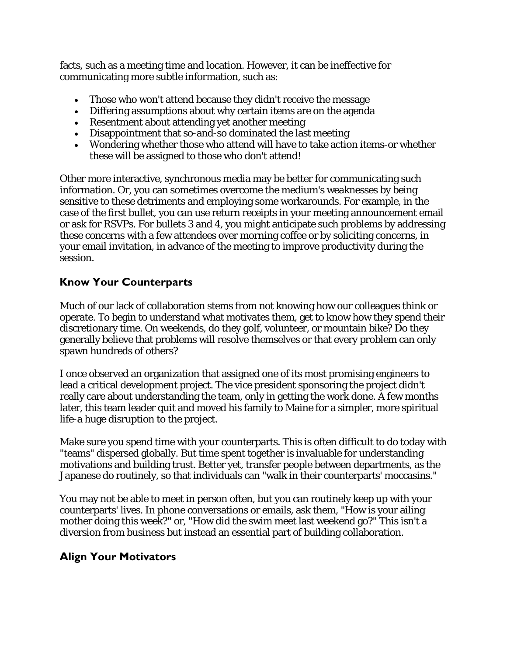facts, such as a meeting time and location. However, it can be ineffective for communicating more subtle information, such as:

- Those who won't attend because they didn't receive the message
- Differing assumptions about why certain items are on the agenda
- Resentment about attending yet another meeting
- Disappointment that so-and-so dominated the last meeting
- Wondering whether those who attend will have to take action items-or whether these will be assigned to those who don't attend!

Other more interactive, synchronous media may be better for communicating such information. Or, you can sometimes overcome the medium's weaknesses by being sensitive to these detriments and employing some workarounds. For example, in the case of the first bullet, you can use return receipts in your meeting announcement email or ask for RSVPs. For bullets 3 and 4, you might anticipate such problems by addressing these concerns with a few attendees over morning coffee or by soliciting concerns, in your email invitation, in advance of the meeting to improve productivity during the session.

### **Know Your Counterparts**

Much of our lack of collaboration stems from not knowing how our colleagues think or operate. To begin to understand what motivates them, get to know how they spend their discretionary time. On weekends, do they golf, volunteer, or mountain bike? Do they generally believe that problems will resolve themselves or that every problem can only spawn hundreds of others?

I once observed an organization that assigned one of its most promising engineers to lead a critical development project. The vice president sponsoring the project didn't really care about understanding the team, only in getting the work done. A few months later, this team leader quit and moved his family to Maine for a simpler, more spiritual life-a huge disruption to the project.

Make sure you spend time with your counterparts. This is often difficult to do today with "teams" dispersed globally. But time spent together is invaluable for understanding motivations and building trust. Better yet, transfer people between departments, as the Japanese do routinely, so that individuals can "walk in their counterparts' moccasins."

You may not be able to meet in person often, but you can routinely keep up with your counterparts' lives. In phone conversations or emails, ask them, "How is your ailing mother doing this week?" or, "How did the swim meet last weekend go?" This isn't a diversion from business but instead an essential part of building collaboration.

## **Align Your Motivators**